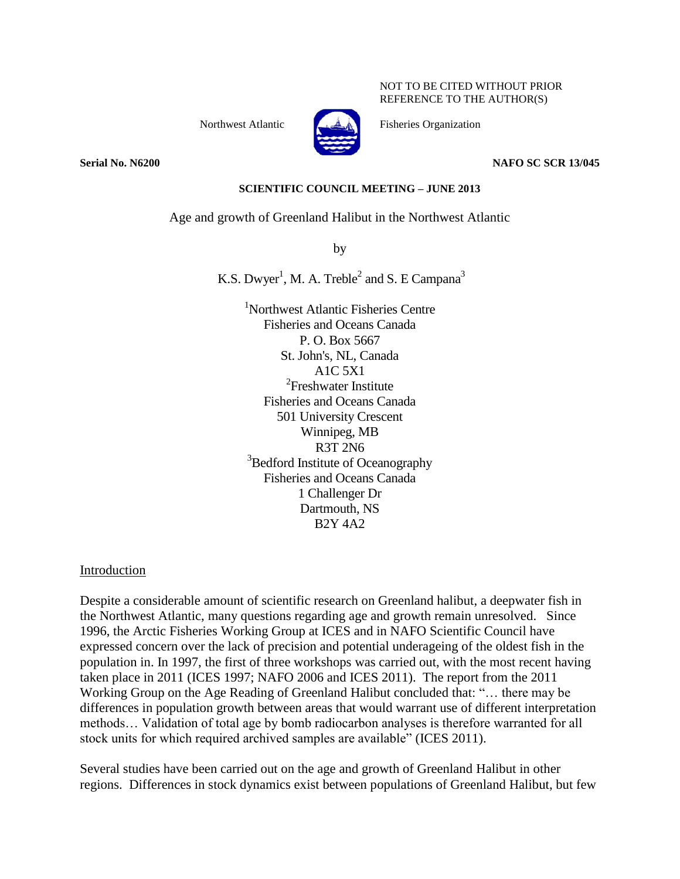NOT TO BE CITED WITHOUT PRIOR REFERENCE TO THE AUTHOR(S)

Northwest Atlantic Fisheries Organization



**Serial No. N6200 NAFO SC SCR 13/045**

#### **SCIENTIFIC COUNCIL MEETING – JUNE 2013**

#### Age and growth of Greenland Halibut in the Northwest Atlantic

by

K.S. Dwyer<sup>1</sup>, M. A. Treble<sup>2</sup> and S. E Campana<sup>3</sup>

<sup>1</sup>Northwest Atlantic Fisheries Centre Fisheries and Oceans Canada P. O. Box 5667 St. John's, NL, Canada A1C 5X1 <sup>2</sup>Freshwater Institute Fisheries and Oceans Canada 501 University Crescent Winnipeg, MB R3T 2N6 <sup>3</sup>Bedford Institute of Oceanography Fisheries and Oceans Canada 1 Challenger Dr Dartmouth, NS B2Y 4A2

Introduction

Despite a considerable amount of scientific research on Greenland halibut, a deepwater fish in the Northwest Atlantic, many questions regarding age and growth remain unresolved. Since 1996, the Arctic Fisheries Working Group at ICES and in NAFO Scientific Council have expressed concern over the lack of precision and potential underageing of the oldest fish in the population in. In 1997, the first of three workshops was carried out, with the most recent having taken place in 2011 (ICES 1997; NAFO 2006 and ICES 2011). The report from the 2011 Working Group on the Age Reading of Greenland Halibut concluded that: "… there may be differences in population growth between areas that would warrant use of different interpretation methods… Validation of total age by bomb radiocarbon analyses is therefore warranted for all stock units for which required archived samples are available" (ICES 2011).

Several studies have been carried out on the age and growth of Greenland Halibut in other regions. Differences in stock dynamics exist between populations of Greenland Halibut, but few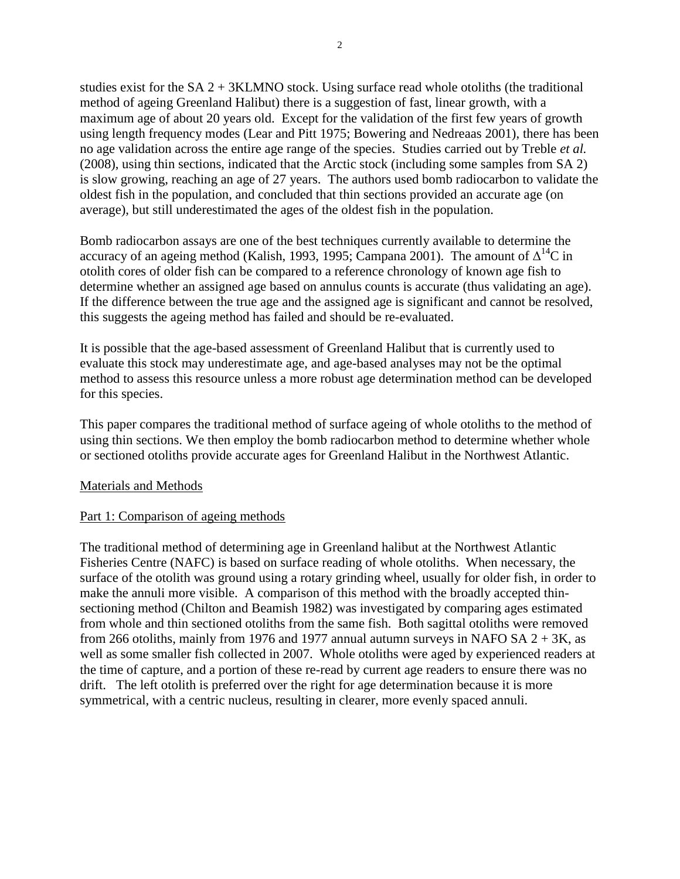studies exist for the  $SA 2 + 3KLMNO$  stock. Using surface read whole otoliths (the traditional method of ageing Greenland Halibut) there is a suggestion of fast, linear growth, with a maximum age of about 20 years old. Except for the validation of the first few years of growth using length frequency modes (Lear and Pitt 1975; Bowering and Nedreaas 2001), there has been no age validation across the entire age range of the species. Studies carried out by Treble *et al.* (2008), using thin sections, indicated that the Arctic stock (including some samples from SA 2) is slow growing, reaching an age of 27 years. The authors used bomb radiocarbon to validate the oldest fish in the population, and concluded that thin sections provided an accurate age (on average), but still underestimated the ages of the oldest fish in the population.

Bomb radiocarbon assays are one of the best techniques currently available to determine the accuracy of an ageing method (Kalish, 1993, 1995; Campana 2001). The amount of  $\Delta^{14}$ C in otolith cores of older fish can be compared to a reference chronology of known age fish to determine whether an assigned age based on annulus counts is accurate (thus validating an age). If the difference between the true age and the assigned age is significant and cannot be resolved, this suggests the ageing method has failed and should be re-evaluated.

It is possible that the age-based assessment of Greenland Halibut that is currently used to evaluate this stock may underestimate age, and age-based analyses may not be the optimal method to assess this resource unless a more robust age determination method can be developed for this species.

This paper compares the traditional method of surface ageing of whole otoliths to the method of using thin sections. We then employ the bomb radiocarbon method to determine whether whole or sectioned otoliths provide accurate ages for Greenland Halibut in the Northwest Atlantic.

## Materials and Methods

## Part 1: Comparison of ageing methods

The traditional method of determining age in Greenland halibut at the Northwest Atlantic Fisheries Centre (NAFC) is based on surface reading of whole otoliths. When necessary, the surface of the otolith was ground using a rotary grinding wheel, usually for older fish, in order to make the annuli more visible. A comparison of this method with the broadly accepted thinsectioning method (Chilton and Beamish 1982) was investigated by comparing ages estimated from whole and thin sectioned otoliths from the same fish. Both sagittal otoliths were removed from 266 otoliths, mainly from 1976 and 1977 annual autumn surveys in NAFO SA  $2 + 3K$ , as well as some smaller fish collected in 2007. Whole otoliths were aged by experienced readers at the time of capture, and a portion of these re-read by current age readers to ensure there was no drift. The left otolith is preferred over the right for age determination because it is more symmetrical, with a centric nucleus, resulting in clearer, more evenly spaced annuli.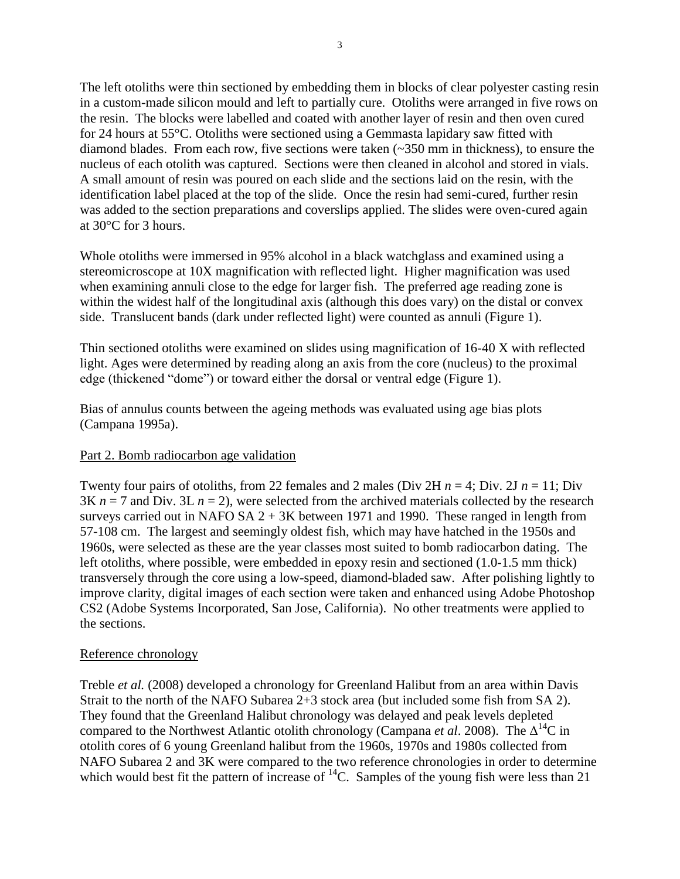The left otoliths were thin sectioned by embedding them in blocks of clear polyester casting resin in a custom-made silicon mould and left to partially cure. Otoliths were arranged in five rows on the resin. The blocks were labelled and coated with another layer of resin and then oven cured for 24 hours at 55°C. Otoliths were sectioned using a Gemmasta lapidary saw fitted with diamond blades. From each row, five sections were taken (~350 mm in thickness), to ensure the nucleus of each otolith was captured. Sections were then cleaned in alcohol and stored in vials. A small amount of resin was poured on each slide and the sections laid on the resin, with the identification label placed at the top of the slide. Once the resin had semi-cured, further resin was added to the section preparations and coverslips applied. The slides were oven-cured again at 30°C for 3 hours.

Whole otoliths were immersed in 95% alcohol in a black watchglass and examined using a stereomicroscope at 10X magnification with reflected light. Higher magnification was used when examining annuli close to the edge for larger fish. The preferred age reading zone is within the widest half of the longitudinal axis (although this does vary) on the distal or convex side. Translucent bands (dark under reflected light) were counted as annuli (Figure 1).

Thin sectioned otoliths were examined on slides using magnification of 16-40 X with reflected light. Ages were determined by reading along an axis from the core (nucleus) to the proximal edge (thickened "dome") or toward either the dorsal or ventral edge (Figure 1).

Bias of annulus counts between the ageing methods was evaluated using age bias plots (Campana 1995a).

## Part 2. Bomb radiocarbon age validation

Twenty four pairs of otoliths, from 22 females and 2 males (Div 2H  $n = 4$ ; Div. 2J  $n = 11$ ; Div  $3K n = 7$  and Div.  $3L n = 2$ ), were selected from the archived materials collected by the research surveys carried out in NAFO SA  $2 + 3K$  between 1971 and 1990. These ranged in length from 57-108 cm. The largest and seemingly oldest fish, which may have hatched in the 1950s and 1960s, were selected as these are the year classes most suited to bomb radiocarbon dating. The left otoliths, where possible, were embedded in epoxy resin and sectioned (1.0-1.5 mm thick) transversely through the core using a low-speed, diamond-bladed saw. After polishing lightly to improve clarity, digital images of each section were taken and enhanced using Adobe Photoshop CS2 (Adobe Systems Incorporated, San Jose, California). No other treatments were applied to the sections.

## Reference chronology

Treble *et al.* (2008) developed a chronology for Greenland Halibut from an area within Davis Strait to the north of the NAFO Subarea 2+3 stock area (but included some fish from SA 2). They found that the Greenland Halibut chronology was delayed and peak levels depleted compared to the Northwest Atlantic otolith chronology (Campana *et al.* 2008). The  $\Delta^{14}$ C in otolith cores of 6 young Greenland halibut from the 1960s, 1970s and 1980s collected from NAFO Subarea 2 and 3K were compared to the two reference chronologies in order to determine which would best fit the pattern of increase of  $^{14}$ C. Samples of the young fish were less than 21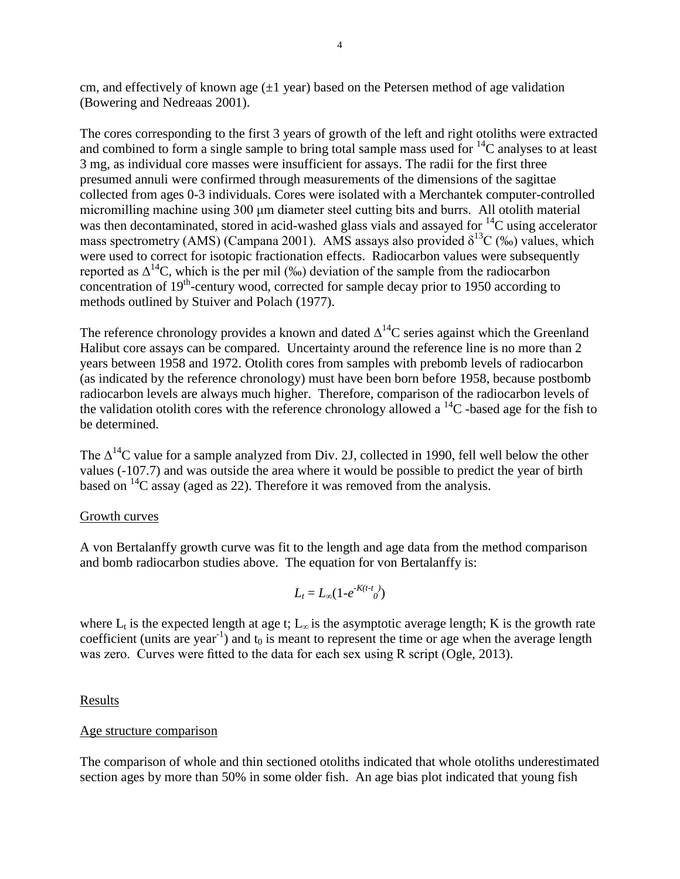cm, and effectively of known age  $(\pm 1$  year) based on the Petersen method of age validation (Bowering and Nedreaas 2001).

The cores corresponding to the first 3 years of growth of the left and right otoliths were extracted and combined to form a single sample to bring total sample mass used for  ${}^{14}C$  analyses to at least 3 mg, as individual core masses were insufficient for assays. The radii for the first three presumed annuli were confirmed through measurements of the dimensions of the sagittae collected from ages 0-3 individuals. Cores were isolated with a Merchantek computer-controlled micromilling machine using 300 μm diameter steel cutting bits and burrs. All otolith material was then decontaminated, stored in acid-washed glass vials and assayed for  ${}^{14}C$  using accelerator mass spectrometry (AMS) (Campana 2001). AMS assays also provided  $\delta^{13}C$  (‰) values, which were used to correct for isotopic fractionation effects. Radiocarbon values were subsequently reported as  $\Delta^{14}$ C, which is the per mil (‰) deviation of the sample from the radiocarbon concentration of 19<sup>th</sup>-century wood, corrected for sample decay prior to 1950 according to methods outlined by Stuiver and Polach (1977).

The reference chronology provides a known and dated  $\Delta^{14}$ C series against which the Greenland Halibut core assays can be compared. Uncertainty around the reference line is no more than 2 years between 1958 and 1972. Otolith cores from samples with prebomb levels of radiocarbon (as indicated by the reference chronology) must have been born before 1958, because postbomb radiocarbon levels are always much higher. Therefore, comparison of the radiocarbon levels of the validation otolith cores with the reference chronology allowed a  ${}^{14}C$  -based age for the fish to be determined.

The  $\Delta^{14}$ C value for a sample analyzed from Div. 2J, collected in 1990, fell well below the other values (-107.7) and was outside the area where it would be possible to predict the year of birth based on  ${}^{14}C$  assay (aged as 22). Therefore it was removed from the analysis.

## Growth curves

A von Bertalanffy growth curve was fit to the length and age data from the method comparison and bomb radiocarbon studies above. The equation for von Bertalanffy is:

$$
L_t = L_{\infty}(1-e^{-K(t-t)})
$$

where  $L_t$  is the expected length at age t;  $L_\infty$  is the asymptotic average length; K is the growth rate coefficient (units are year<sup>-1</sup>) and  $t_0$  is meant to represent the time or age when the average length was zero. Curves were fitted to the data for each sex using R script (Ogle, 2013).

## Results

#### Age structure comparison

The comparison of whole and thin sectioned otoliths indicated that whole otoliths underestimated section ages by more than 50% in some older fish. An age bias plot indicated that young fish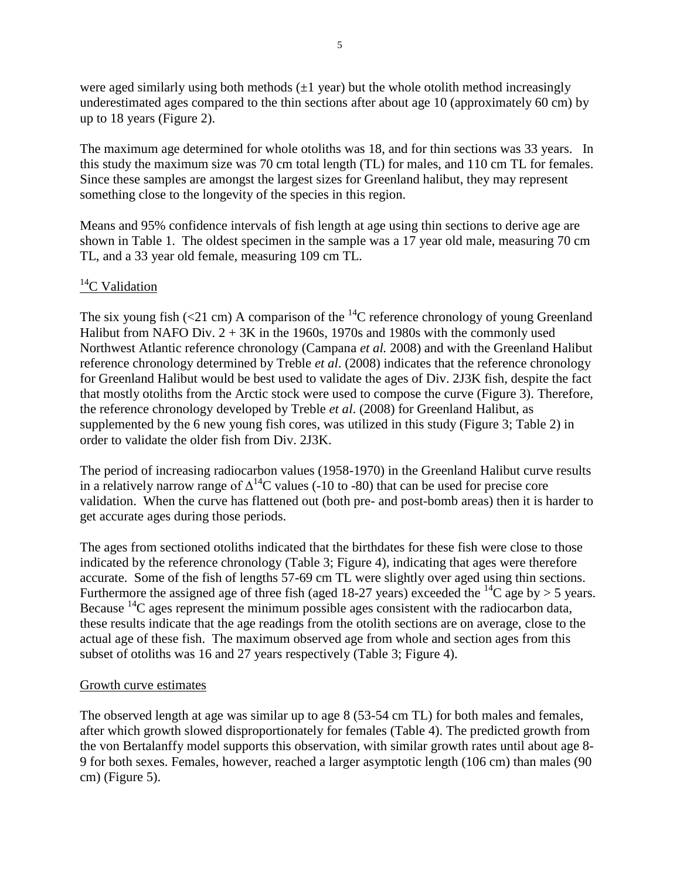were aged similarly using both methods  $(\pm 1 \text{ year})$  but the whole otolith method increasingly underestimated ages compared to the thin sections after about age 10 (approximately 60 cm) by up to 18 years (Figure 2).

The maximum age determined for whole otoliths was 18, and for thin sections was 33 years. In this study the maximum size was 70 cm total length (TL) for males, and 110 cm TL for females. Since these samples are amongst the largest sizes for Greenland halibut, they may represent something close to the longevity of the species in this region.

Means and 95% confidence intervals of fish length at age using thin sections to derive age are shown in Table 1. The oldest specimen in the sample was a 17 year old male, measuring 70 cm TL, and a 33 year old female, measuring 109 cm TL.

# ${}^{14}C$  Validation

The six young fish (<21 cm) A comparison of the  $^{14}$ C reference chronology of young Greenland Halibut from NAFO Div.  $2 + 3K$  in the 1960s, 1970s and 1980s with the commonly used Northwest Atlantic reference chronology (Campana *et al.* 2008) and with the Greenland Halibut reference chronology determined by Treble *et al*. (2008) indicates that the reference chronology for Greenland Halibut would be best used to validate the ages of Div. 2J3K fish, despite the fact that mostly otoliths from the Arctic stock were used to compose the curve (Figure 3). Therefore, the reference chronology developed by Treble *et al*. (2008) for Greenland Halibut, as supplemented by the 6 new young fish cores, was utilized in this study (Figure 3; Table 2) in order to validate the older fish from Div. 2J3K.

The period of increasing radiocarbon values (1958-1970) in the Greenland Halibut curve results in a relatively narrow range of  $\Delta^{14}$ C values (-10 to -80) that can be used for precise core validation. When the curve has flattened out (both pre- and post-bomb areas) then it is harder to get accurate ages during those periods.

The ages from sectioned otoliths indicated that the birthdates for these fish were close to those indicated by the reference chronology (Table 3; Figure 4), indicating that ages were therefore accurate. Some of the fish of lengths 57-69 cm TL were slightly over aged using thin sections. Furthermore the assigned age of three fish (aged 18-27 years) exceeded the <sup>14</sup>C age by > 5 years. Because  $^{14}$ C ages represent the minimum possible ages consistent with the radiocarbon data, these results indicate that the age readings from the otolith sections are on average, close to the actual age of these fish. The maximum observed age from whole and section ages from this subset of otoliths was 16 and 27 years respectively (Table 3; Figure 4).

## Growth curve estimates

The observed length at age was similar up to age 8 (53-54 cm TL) for both males and females, after which growth slowed disproportionately for females (Table 4). The predicted growth from the von Bertalanffy model supports this observation, with similar growth rates until about age 8- 9 for both sexes. Females, however, reached a larger asymptotic length (106 cm) than males (90 cm) (Figure 5).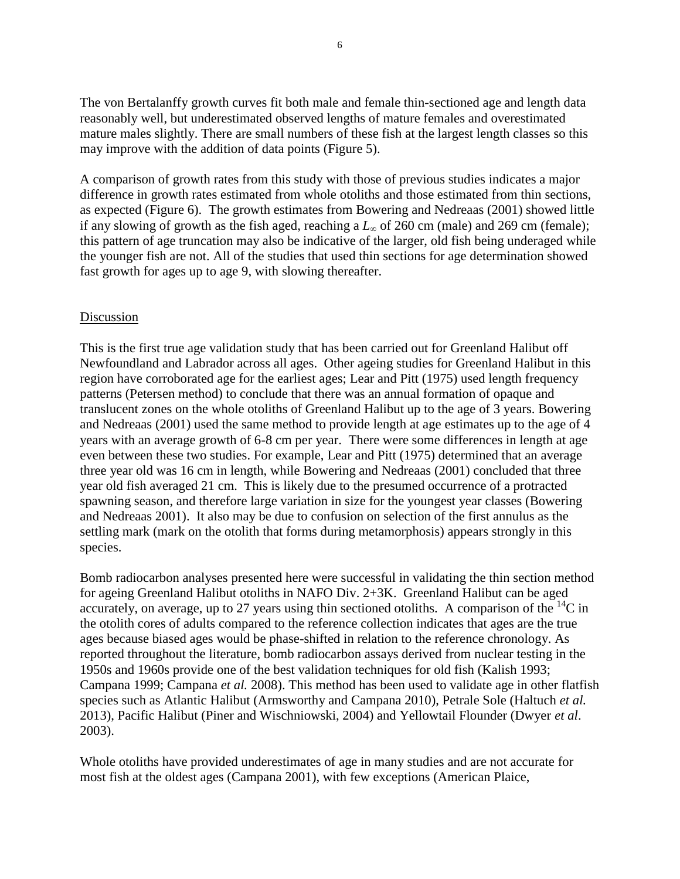The von Bertalanffy growth curves fit both male and female thin-sectioned age and length data reasonably well, but underestimated observed lengths of mature females and overestimated mature males slightly. There are small numbers of these fish at the largest length classes so this may improve with the addition of data points (Figure 5).

A comparison of growth rates from this study with those of previous studies indicates a major difference in growth rates estimated from whole otoliths and those estimated from thin sections, as expected (Figure 6). The growth estimates from Bowering and Nedreaas (2001) showed little if any slowing of growth as the fish aged, reaching a *L<sup>∞</sup>* of 260 cm (male) and 269 cm (female); this pattern of age truncation may also be indicative of the larger, old fish being underaged while the younger fish are not. All of the studies that used thin sections for age determination showed fast growth for ages up to age 9, with slowing thereafter.

#### Discussion

This is the first true age validation study that has been carried out for Greenland Halibut off Newfoundland and Labrador across all ages. Other ageing studies for Greenland Halibut in this region have corroborated age for the earliest ages; Lear and Pitt (1975) used length frequency patterns (Petersen method) to conclude that there was an annual formation of opaque and translucent zones on the whole otoliths of Greenland Halibut up to the age of 3 years. Bowering and Nedreaas (2001) used the same method to provide length at age estimates up to the age of 4 years with an average growth of 6-8 cm per year. There were some differences in length at age even between these two studies. For example, Lear and Pitt (1975) determined that an average three year old was 16 cm in length, while Bowering and Nedreaas (2001) concluded that three year old fish averaged 21 cm. This is likely due to the presumed occurrence of a protracted spawning season, and therefore large variation in size for the youngest year classes (Bowering and Nedreaas 2001). It also may be due to confusion on selection of the first annulus as the settling mark (mark on the otolith that forms during metamorphosis) appears strongly in this species.

Bomb radiocarbon analyses presented here were successful in validating the thin section method for ageing Greenland Halibut otoliths in NAFO Div. 2+3K. Greenland Halibut can be aged accurately, on average, up to 27 years using thin sectioned otoliths. A comparison of the  ${}^{14}C$  in the otolith cores of adults compared to the reference collection indicates that ages are the true ages because biased ages would be phase-shifted in relation to the reference chronology. As reported throughout the literature, bomb radiocarbon assays derived from nuclear testing in the 1950s and 1960s provide one of the best validation techniques for old fish (Kalish 1993; Campana 1999; Campana *et al.* 2008). This method has been used to validate age in other flatfish species such as Atlantic Halibut (Armsworthy and Campana 2010), Petrale Sole (Haltuch *et al.* 2013), Pacific Halibut (Piner and Wischniowski, 2004) and Yellowtail Flounder (Dwyer *et al*. 2003).

Whole otoliths have provided underestimates of age in many studies and are not accurate for most fish at the oldest ages (Campana 2001), with few exceptions (American Plaice,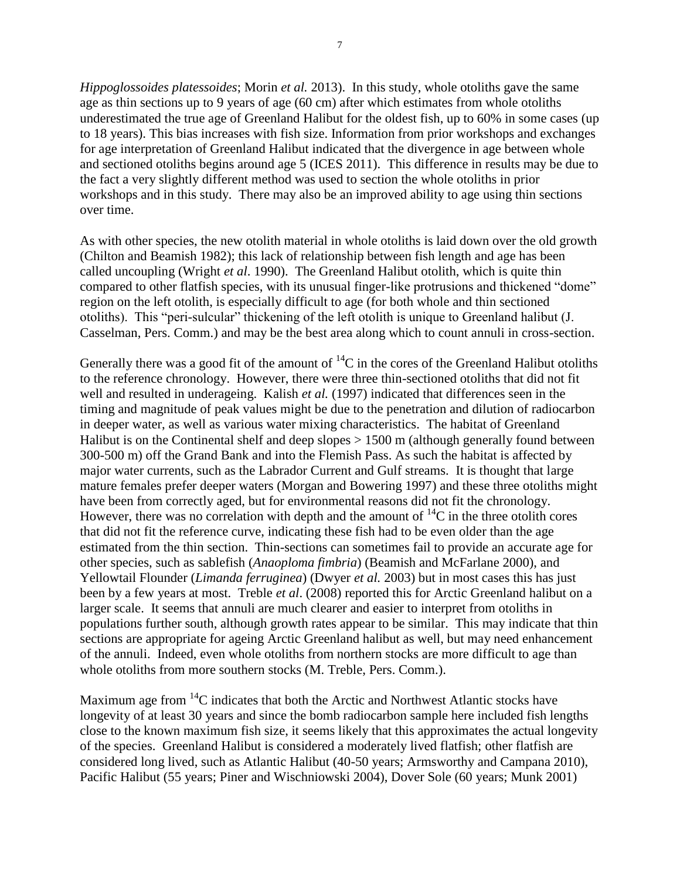*Hippoglossoides platessoides*; Morin *et al.* 2013). In this study, whole otoliths gave the same age as thin sections up to 9 years of age (60 cm) after which estimates from whole otoliths underestimated the true age of Greenland Halibut for the oldest fish, up to 60% in some cases (up to 18 years). This bias increases with fish size. Information from prior workshops and exchanges for age interpretation of Greenland Halibut indicated that the divergence in age between whole and sectioned otoliths begins around age 5 (ICES 2011). This difference in results may be due to the fact a very slightly different method was used to section the whole otoliths in prior workshops and in this study. There may also be an improved ability to age using thin sections over time.

As with other species, the new otolith material in whole otoliths is laid down over the old growth (Chilton and Beamish 1982); this lack of relationship between fish length and age has been called uncoupling (Wright *et al*. 1990). The Greenland Halibut otolith, which is quite thin compared to other flatfish species, with its unusual finger-like protrusions and thickened "dome" region on the left otolith, is especially difficult to age (for both whole and thin sectioned otoliths). This "peri-sulcular" thickening of the left otolith is unique to Greenland halibut (J. Casselman, Pers. Comm.) and may be the best area along which to count annuli in cross-section.

Generally there was a good fit of the amount of  ${}^{14}C$  in the cores of the Greenland Halibut otoliths to the reference chronology. However, there were three thin-sectioned otoliths that did not fit well and resulted in underageing. Kalish *et al.* (1997) indicated that differences seen in the timing and magnitude of peak values might be due to the penetration and dilution of radiocarbon in deeper water, as well as various water mixing characteristics. The habitat of Greenland Halibut is on the Continental shelf and deep slopes > 1500 m (although generally found between 300-500 m) off the Grand Bank and into the Flemish Pass. As such the habitat is affected by major water currents, such as the Labrador Current and Gulf streams. It is thought that large mature females prefer deeper waters (Morgan and Bowering 1997) and these three otoliths might have been from correctly aged, but for environmental reasons did not fit the chronology. However, there was no correlation with depth and the amount of  ${}^{14}C$  in the three otolith cores that did not fit the reference curve, indicating these fish had to be even older than the age estimated from the thin section. Thin-sections can sometimes fail to provide an accurate age for other species, such as sablefish (*Anaoploma fimbria*) (Beamish and McFarlane 2000), and Yellowtail Flounder (*Limanda ferruginea*) (Dwyer *et al.* 2003) but in most cases this has just been by a few years at most. Treble *et al*. (2008) reported this for Arctic Greenland halibut on a larger scale. It seems that annuli are much clearer and easier to interpret from otoliths in populations further south, although growth rates appear to be similar. This may indicate that thin sections are appropriate for ageing Arctic Greenland halibut as well, but may need enhancement of the annuli. Indeed, even whole otoliths from northern stocks are more difficult to age than whole otoliths from more southern stocks (M. Treble, Pers. Comm.).

Maximum age from <sup>14</sup>C indicates that both the Arctic and Northwest Atlantic stocks have longevity of at least 30 years and since the bomb radiocarbon sample here included fish lengths close to the known maximum fish size, it seems likely that this approximates the actual longevity of the species. Greenland Halibut is considered a moderately lived flatfish; other flatfish are considered long lived, such as Atlantic Halibut (40-50 years; Armsworthy and Campana 2010), Pacific Halibut (55 years; Piner and Wischniowski 2004), Dover Sole (60 years; Munk 2001)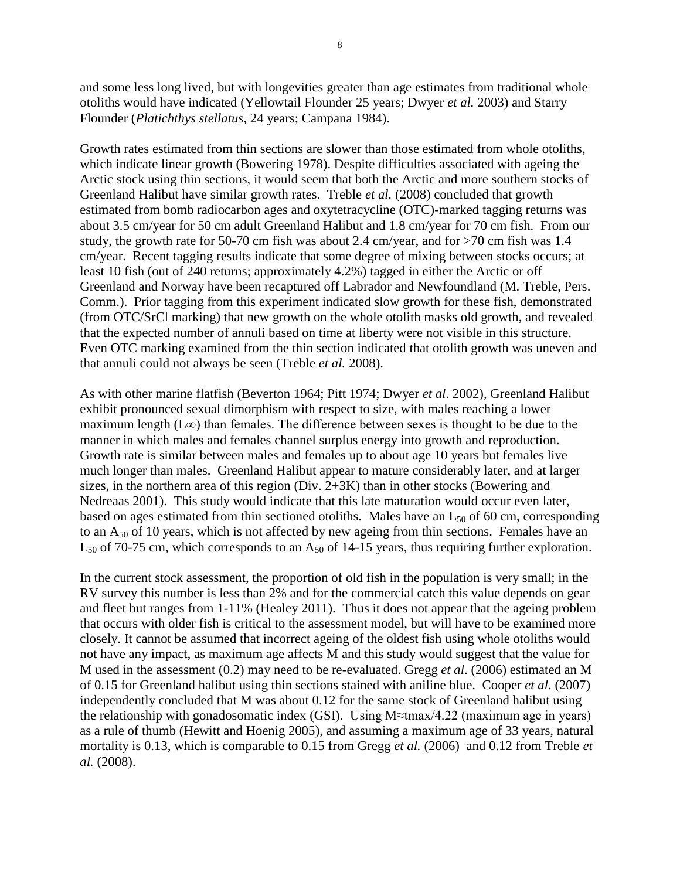and some less long lived, but with longevities greater than age estimates from traditional whole otoliths would have indicated (Yellowtail Flounder 25 years; Dwyer *et al.* 2003) and Starry Flounder (*Platichthys stellatus*, 24 years; Campana 1984).

Growth rates estimated from thin sections are slower than those estimated from whole otoliths, which indicate linear growth (Bowering 1978). Despite difficulties associated with ageing the Arctic stock using thin sections, it would seem that both the Arctic and more southern stocks of Greenland Halibut have similar growth rates. Treble *et al.* (2008) concluded that growth estimated from bomb radiocarbon ages and oxytetracycline (OTC)-marked tagging returns was about 3.5 cm/year for 50 cm adult Greenland Halibut and 1.8 cm/year for 70 cm fish. From our study, the growth rate for 50-70 cm fish was about 2.4 cm/year, and for >70 cm fish was 1.4 cm/year. Recent tagging results indicate that some degree of mixing between stocks occurs; at least 10 fish (out of 240 returns; approximately 4.2%) tagged in either the Arctic or off Greenland and Norway have been recaptured off Labrador and Newfoundland (M. Treble, Pers. Comm.). Prior tagging from this experiment indicated slow growth for these fish, demonstrated (from OTC/SrCl marking) that new growth on the whole otolith masks old growth, and revealed that the expected number of annuli based on time at liberty were not visible in this structure. Even OTC marking examined from the thin section indicated that otolith growth was uneven and that annuli could not always be seen (Treble *et al.* 2008).

As with other marine flatfish (Beverton 1964; Pitt 1974; Dwyer *et al*. 2002), Greenland Halibut exhibit pronounced sexual dimorphism with respect to size, with males reaching a lower maximum length (L∞) than females. The difference between sexes is thought to be due to the manner in which males and females channel surplus energy into growth and reproduction. Growth rate is similar between males and females up to about age 10 years but females live much longer than males. Greenland Halibut appear to mature considerably later, and at larger sizes, in the northern area of this region (Div. 2+3K) than in other stocks (Bowering and Nedreaas 2001). This study would indicate that this late maturation would occur even later, based on ages estimated from thin sectioned otoliths. Males have an  $L_{50}$  of 60 cm, corresponding to an  $A_{50}$  of 10 years, which is not affected by new ageing from thin sections. Females have an  $L_{50}$  of 70-75 cm, which corresponds to an  $A_{50}$  of 14-15 years, thus requiring further exploration.

In the current stock assessment, the proportion of old fish in the population is very small; in the RV survey this number is less than 2% and for the commercial catch this value depends on gear and fleet but ranges from 1-11% (Healey 2011). Thus it does not appear that the ageing problem that occurs with older fish is critical to the assessment model, but will have to be examined more closely. It cannot be assumed that incorrect ageing of the oldest fish using whole otoliths would not have any impact, as maximum age affects M and this study would suggest that the value for M used in the assessment (0.2) may need to be re-evaluated. Gregg *et al*. (2006) estimated an M of 0.15 for Greenland halibut using thin sections stained with aniline blue. Cooper *et al*. (2007) independently concluded that M was about 0.12 for the same stock of Greenland halibut using the relationship with gonadosomatic index (GSI). Using M≈tmax/4.22 (maximum age in years) as a rule of thumb (Hewitt and Hoenig 2005), and assuming a maximum age of 33 years, natural mortality is 0.13, which is comparable to 0.15 from Gregg *et al.* (2006) and 0.12 from Treble *et al.* (2008).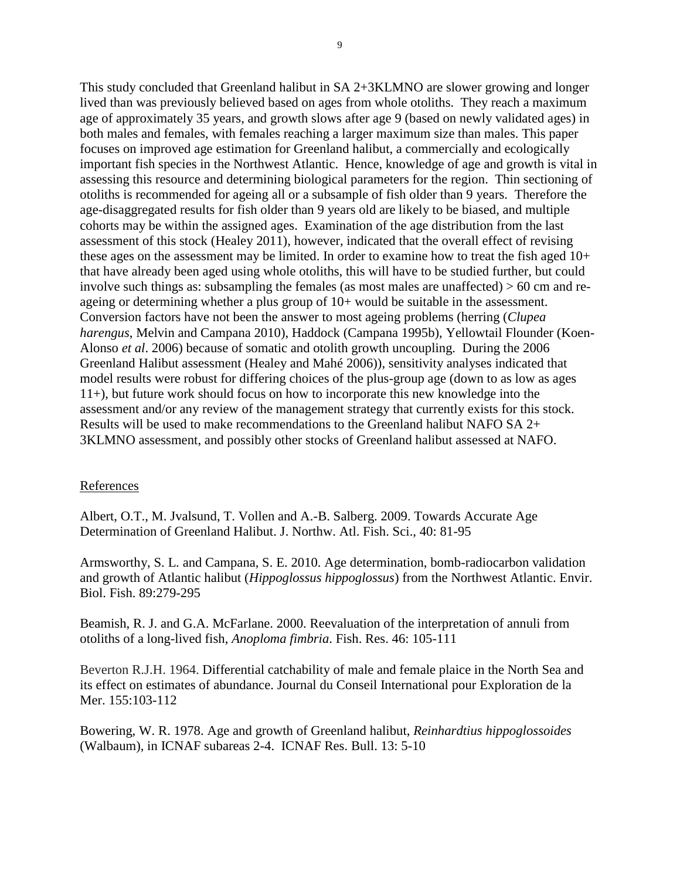This study concluded that Greenland halibut in SA 2+3KLMNO are slower growing and longer lived than was previously believed based on ages from whole otoliths. They reach a maximum age of approximately 35 years, and growth slows after age 9 (based on newly validated ages) in both males and females, with females reaching a larger maximum size than males. This paper focuses on improved age estimation for Greenland halibut, a commercially and ecologically important fish species in the Northwest Atlantic. Hence, knowledge of age and growth is vital in assessing this resource and determining biological parameters for the region. Thin sectioning of otoliths is recommended for ageing all or a subsample of fish older than 9 years. Therefore the age-disaggregated results for fish older than 9 years old are likely to be biased, and multiple cohorts may be within the assigned ages. Examination of the age distribution from the last assessment of this stock (Healey 2011), however, indicated that the overall effect of revising these ages on the assessment may be limited. In order to examine how to treat the fish aged 10+ that have already been aged using whole otoliths, this will have to be studied further, but could involve such things as: subsampling the females (as most males are unaffected) > 60 cm and reageing or determining whether a plus group of 10+ would be suitable in the assessment. Conversion factors have not been the answer to most ageing problems (herring (*Clupea harengus*, Melvin and Campana 2010), Haddock (Campana 1995b), Yellowtail Flounder (Koen-Alonso *et al*. 2006) because of somatic and otolith growth uncoupling. During the 2006 Greenland Halibut assessment (Healey and Mahé 2006)), sensitivity analyses indicated that model results were robust for differing choices of the plus-group age (down to as low as ages 11+), but future work should focus on how to incorporate this new knowledge into the assessment and/or any review of the management strategy that currently exists for this stock. Results will be used to make recommendations to the Greenland halibut NAFO SA 2+ 3KLMNO assessment, and possibly other stocks of Greenland halibut assessed at NAFO.

#### **References**

Albert, O.T., M. Jvalsund, T. Vollen and A.-B. Salberg. 2009. Towards Accurate Age Determination of Greenland Halibut. J. Northw. Atl. Fish. Sci., 40: 81-95

Armsworthy, S. L. and Campana, S. E. 2010. Age determination, bomb-radiocarbon validation and growth of Atlantic halibut (*Hippoglossus hippoglossus*) from the Northwest Atlantic. Envir. Biol. Fish. 89:279-295

Beamish, R. J. and G.A. McFarlane. 2000. Reevaluation of the interpretation of annuli from otoliths of a long-lived fish, *Anoploma fimbria*. Fish. Res. 46: 105-111

Beverton R.J.H. 1964. Differential catchability of male and female plaice in the North Sea and its effect on estimates of abundance. Journal du Conseil International pour Exploration de la Mer. 155:103-112

Bowering, W. R. 1978. Age and growth of Greenland halibut, *Reinhardtius hippoglossoides* (Walbaum), in ICNAF subareas 2-4. ICNAF Res. Bull. 13: 5-10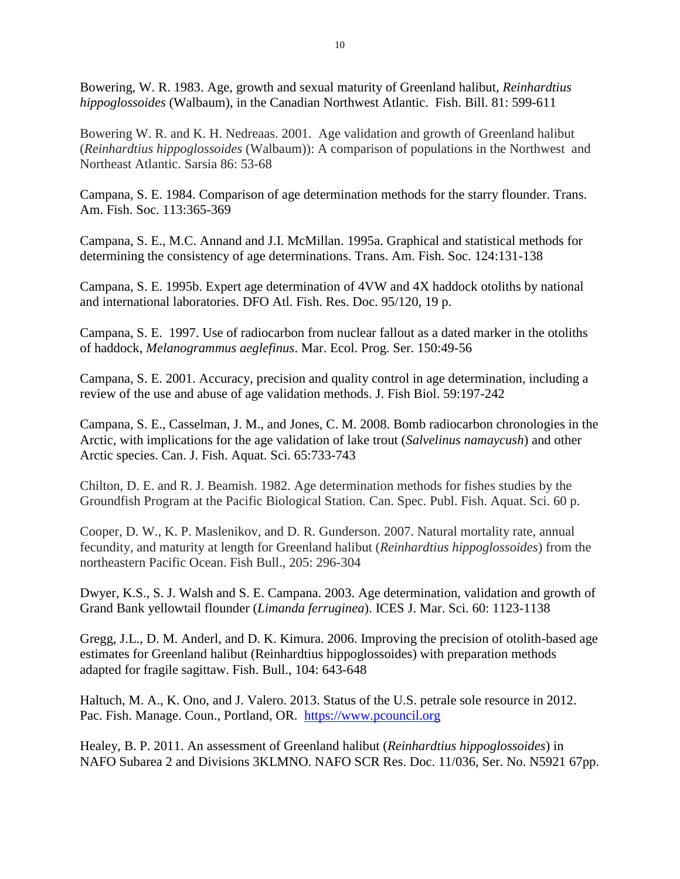Bowering, W. R. 1983. Age, growth and sexual maturity of Greenland halibut, *Reinhardtius hippoglossoides* (Walbaum), in the Canadian Northwest Atlantic. Fish. Bill. 81: 599-611

Bowering W. R. and K. H. Nedreaas. 2001. Age validation and growth of Greenland halibut (*Reinhardtius hippoglossoides* (Walbaum)): A comparison of populations in the Northwest and Northeast Atlantic. Sarsia 86: 53-68

Campana, S. E. 1984. Comparison of age determination methods for the starry flounder. Trans. Am. Fish. Soc. 113:365-369

Campana, S. E., M.C. Annand and J.I. McMillan. 1995a. Graphical and statistical methods for determining the consistency of age determinations. Trans. Am. Fish. Soc. 124:131-138

Campana, S. E. 1995b. Expert age determination of 4VW and 4X haddock otoliths by national and international laboratories. DFO Atl. Fish. Res. Doc. 95/120, 19 p.

Campana, S. E. 1997. Use of radiocarbon from nuclear fallout as a dated marker in the otoliths of haddock, *Melanogrammus aeglefinus*. Mar. Ecol. Prog. Ser. 150:49-56

Campana, S. E. 2001. Accuracy, precision and quality control in age determination, including a review of the use and abuse of age validation methods. J. Fish Biol. 59:197-242

Campana, S. E., Casselman, J. M., and Jones, C. M. 2008. Bomb radiocarbon chronologies in the Arctic, with implications for the age validation of lake trout (*Salvelinus namaycush*) and other Arctic species. Can. J. Fish. Aquat. Sci. 65:733-743

Chilton, D. E. and R. J. Beamish. 1982. Age determination methods for fishes studies by the Groundfish Program at the Pacific Biological Station. Can. Spec. Publ. Fish. Aquat. Sci. 60 p.

Cooper, D. W., K. P. Maslenikov, and D. R. Gunderson. 2007. Natural mortality rate, annual fecundity, and maturity at length for Greenland halibut (*Reinhardtius hippoglossoides*) from the northeastern Pacific Ocean. Fish Bull., 205: 296-304

Dwyer, K.S., S. J. Walsh and S. E. Campana. 2003. Age determination, validation and growth of Grand Bank yellowtail flounder (*Limanda ferruginea*). ICES J. Mar. Sci. 60: 1123-1138

Gregg, J.L., D. M. Anderl, and D. K. Kimura. 2006. Improving the precision of otolith-based age estimates for Greenland halibut (Reinhardtius hippoglossoides) with preparation methods adapted for fragile sagittaw. Fish. Bull., 104: 643-648

Haltuch, M. A., K. Ono, and J. Valero. 2013. Status of the U.S. petrale sole resource in 2012. Pac. Fish. Manage. Coun., Portland, OR. [https://www.pcouncil.org](https://www.pcouncil.org/)

Healey, B. P. 2011. An assessment of Greenland halibut (*Reinhardtius hippoglossoides*) in NAFO Subarea 2 and Divisions 3KLMNO. NAFO SCR Res. Doc. 11/036, Ser. No. N5921 67pp.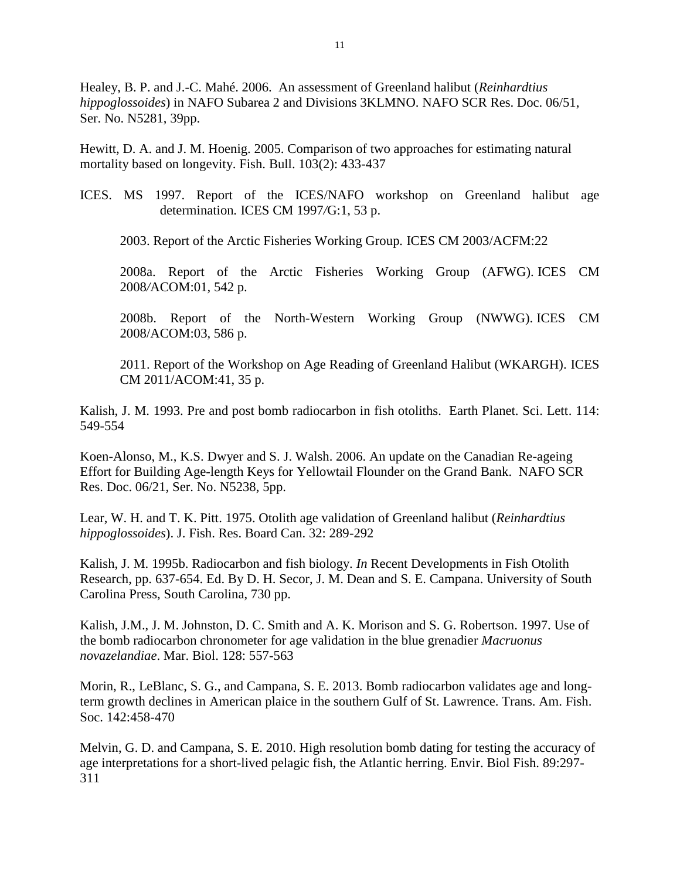Healey, B. P. and J.-C. Mahé. 2006. An assessment of Greenland halibut (*Reinhardtius hippoglossoides*) in NAFO Subarea 2 and Divisions 3KLMNO. NAFO SCR Res. Doc. 06/51, Ser. No. N5281, 39pp.

Hewitt, D. A. and J. M. Hoenig. 2005. Comparison of two approaches for estimating natural mortality based on longevity. Fish. Bull. 103(2): 433-437

ICES. MS 1997. Report of the ICES/NAFO workshop on Greenland halibut age determination*.* ICES CM 1997*/*G:1, 53 p.

2003. Report of the Arctic Fisheries Working Group*.* ICES CM 2003/ACFM:22

2008a. Report of the Arctic Fisheries Working Group (AFWG). ICES CM 2008*/*ACOM:01*,* 542 p.

2008b. Report of the North-Western Working Group (NWWG). ICES CM 2008/ACOM:03, 586 p.

2011. Report of the Workshop on Age Reading of Greenland Halibut (WKARGH). ICES CM 2011/ACOM:41, 35 p.

Kalish, J. M. 1993. Pre and post bomb radiocarbon in fish otoliths. Earth Planet. Sci. Lett. 114: 549-554

Koen-Alonso, M., K.S. Dwyer and S. J. Walsh. 2006. An update on the Canadian Re-ageing Effort for Building Age-length Keys for Yellowtail Flounder on the Grand Bank. NAFO SCR Res. Doc. 06/21, Ser. No. N5238, 5pp.

Lear, W. H. and T. K. Pitt. 1975. Otolith age validation of Greenland halibut (*Reinhardtius hippoglossoides*). J. Fish. Res. Board Can. 32: 289-292

Kalish, J. M. 1995b. Radiocarbon and fish biology. *In* Recent Developments in Fish Otolith Research, pp. 637-654. Ed. By D. H. Secor, J. M. Dean and S. E. Campana. University of South Carolina Press, South Carolina, 730 pp.

Kalish, J.M., J. M. Johnston, D. C. Smith and A. K. Morison and S. G. Robertson. 1997. Use of the bomb radiocarbon chronometer for age validation in the blue grenadier *Macruonus novazelandiae*. Mar. Biol. 128: 557-563

Morin, R., LeBlanc, S. G., and Campana, S. E. 2013. Bomb radiocarbon validates age and longterm growth declines in American plaice in the southern Gulf of St. Lawrence. Trans. Am. Fish. Soc. 142:458-470

Melvin, G. D. and Campana, S. E. 2010. High resolution bomb dating for testing the accuracy of age interpretations for a short-lived pelagic fish, the Atlantic herring. Envir. Biol Fish. 89:297- 311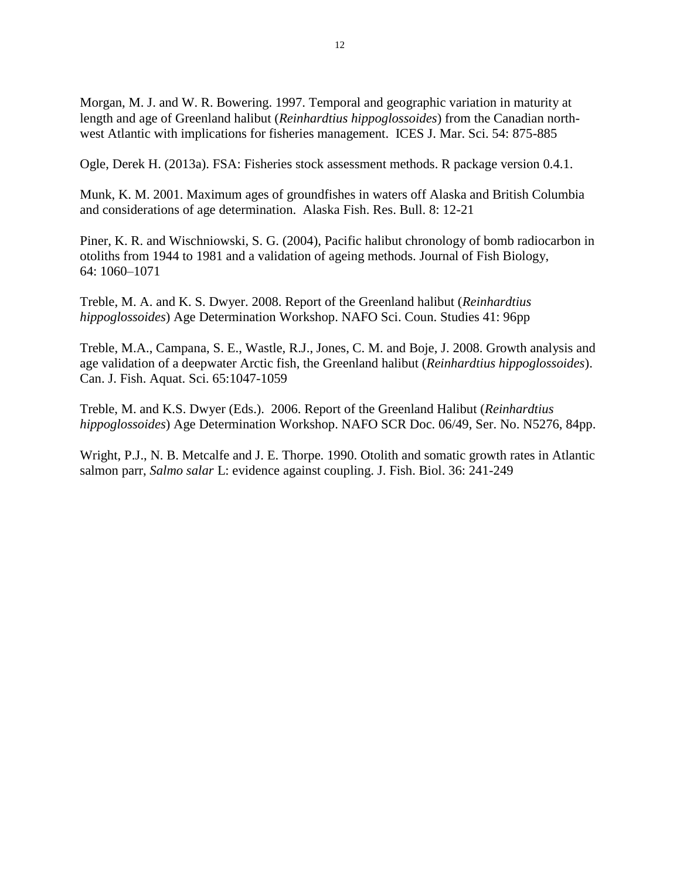Morgan, M. J. and W. R. Bowering. 1997. Temporal and geographic variation in maturity at length and age of Greenland halibut (*Reinhardtius hippoglossoides*) from the Canadian northwest Atlantic with implications for fisheries management. ICES J. Mar. Sci. 54: 875-885

Ogle, Derek H. (2013a). FSA: Fisheries stock assessment methods. R package version 0.4.1.

Munk, K. M. 2001. Maximum ages of groundfishes in waters off Alaska and British Columbia and considerations of age determination. Alaska Fish. Res. Bull. 8: 12-21

Piner, K. R. and Wischniowski, S. G. (2004), Pacific halibut chronology of bomb radiocarbon in otoliths from 1944 to 1981 and a validation of ageing methods. Journal of Fish Biology, 64: 1060–1071

Treble, M. A. and K. S. Dwyer. 2008. Report of the Greenland halibut (*Reinhardtius hippoglossoides*) Age Determination Workshop. NAFO Sci. Coun. Studies 41: 96pp

Treble, M.A., Campana, S. E., Wastle, R.J., Jones, C. M. and Boje, J. 2008. Growth analysis and age validation of a deepwater Arctic fish, the Greenland halibut (*Reinhardtius hippoglossoides*). Can. J. Fish. Aquat. Sci. 65:1047-1059

Treble, M. and K.S. Dwyer (Eds.). 2006. Report of the Greenland Halibut (*Reinhardtius hippoglossoides*) Age Determination Workshop. NAFO SCR Doc. 06/49, Ser. No. N5276, 84pp.

Wright, P.J., N. B. Metcalfe and J. E. Thorpe. 1990. Otolith and somatic growth rates in Atlantic salmon parr, *Salmo salar* L: evidence against coupling. J. Fish. Biol. 36: 241-249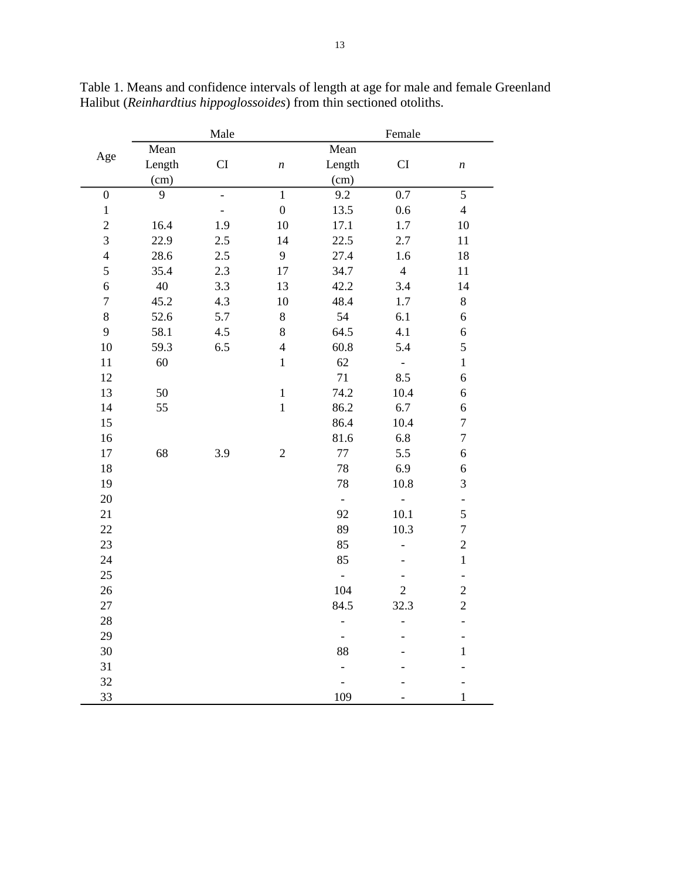| Age              |        | Male                     |                  |                          | Female                   |                          |
|------------------|--------|--------------------------|------------------|--------------------------|--------------------------|--------------------------|
|                  | Mean   |                          |                  | Mean                     |                          |                          |
|                  | Length | CI                       | $\boldsymbol{n}$ | Length                   | CI                       | $\boldsymbol{n}$         |
|                  | (cm)   |                          | (cm)             |                          |                          |                          |
| $\boldsymbol{0}$ | 9      | $\overline{\phantom{0}}$ | $\overline{1}$   | 9.2                      | 0.7                      | $\overline{5}$           |
| $\,1$            |        |                          | $\boldsymbol{0}$ | 13.5                     | 0.6                      | $\overline{4}$           |
| $\overline{c}$   | 16.4   | 1.9                      | 10               | 17.1                     | 1.7                      | $10\,$                   |
| $\overline{3}$   | 22.9   | 2.5                      | 14               | 22.5                     | 2.7                      | 11                       |
| $\overline{4}$   | 28.6   | 2.5                      | 9                | 27.4                     | 1.6                      | 18                       |
| 5                | 35.4   | 2.3                      | 17               | 34.7                     | $\overline{4}$           | 11                       |
| $\sqrt{6}$       | 40     | 3.3                      | 13               | 42.2                     | 3.4                      | 14                       |
| $\boldsymbol{7}$ | 45.2   | 4.3                      | 10               | 48.4                     | $1.7\,$                  | 8                        |
| $8\,$            | 52.6   | 5.7                      | $8\,$            | 54                       | 6.1                      | 6                        |
| 9                | 58.1   | 4.5                      | 8                | 64.5                     | 4.1                      | 6                        |
| 10               | 59.3   | 6.5                      | $\overline{4}$   | 60.8                     | 5.4                      | 5                        |
| 11               | 60     |                          | $\mathbf 1$      | 62                       | $\overline{\phantom{a}}$ | $\,1$                    |
| 12               |        |                          |                  | 71                       | 8.5                      | 6                        |
| 13               | 50     |                          | $\,1\,$          | 74.2                     | 10.4                     | $\boldsymbol{6}$         |
| 14               | 55     |                          | $\mathbf{1}$     | 86.2                     | 6.7                      | $\boldsymbol{6}$         |
| 15               |        |                          |                  | 86.4                     | 10.4                     | $\overline{7}$           |
| 16               |        |                          |                  | 81.6                     | 6.8                      | $\boldsymbol{7}$         |
| 17               | 68     | 3.9                      | $\sqrt{2}$       | $77\,$                   | 5.5                      | $\boldsymbol{6}$         |
| 18               |        |                          |                  | 78                       | 6.9                      | $\boldsymbol{6}$         |
| 19               |        |                          |                  | 78                       | 10.8                     | $\overline{3}$           |
| 20               |        |                          |                  | $\blacksquare$           | $\overline{a}$           | ÷,                       |
| 21               |        |                          |                  | 92                       | 10.1                     | 5                        |
| 22               |        |                          |                  | 89                       | 10.3                     | $\overline{7}$           |
| 23               |        |                          |                  | 85                       |                          | $\overline{c}$           |
| 24               |        |                          |                  | 85                       |                          | $\mathbf{1}$             |
| 25               |        |                          |                  | $\overline{\phantom{a}}$ |                          | $\overline{\phantom{0}}$ |
| 26               |        |                          |                  | 104                      | $\overline{2}$           | $\overline{c}$           |
| 27               |        |                          |                  | 84.5                     | 32.3                     | $\overline{2}$           |
| 28               |        |                          |                  | $\overline{a}$           |                          | $\overline{a}$           |
| 29               |        |                          |                  | $\overline{\phantom{0}}$ |                          | $\overline{a}$           |
| 30               |        |                          |                  | 88                       |                          | $\,1$                    |
| 31               |        |                          |                  | $\overline{a}$           |                          |                          |
| 32               |        |                          |                  |                          |                          |                          |
| 33               |        |                          |                  | 109                      |                          | $\mathbf{1}$             |

Table 1. Means and confidence intervals of length at age for male and female Greenland Halibut (*Reinhardtius hippoglossoides*) from thin sectioned otoliths.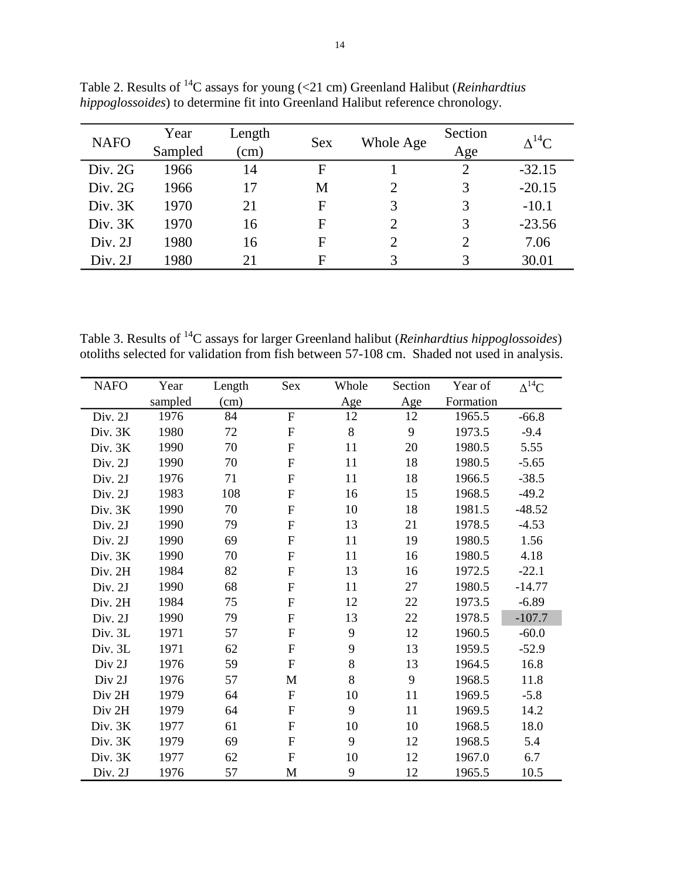| <b>NAFO</b> | Year<br>Sampled | Length<br>$\rm (cm)$ | <b>Sex</b> | Whole Age                   | Section<br>Age | $\Lambda^{14}C$ |
|-------------|-----------------|----------------------|------------|-----------------------------|----------------|-----------------|
| Div. 2G     | 1966            | 14                   | F          |                             |                | $-32.15$        |
| Div. 2G     | 1966            | 17                   | M          | $\mathcal{D}_{\mathcal{A}}$ | 3              | $-20.15$        |
| Div. 3K     | 1970            | 21                   | F          | 3                           | 3              | $-10.1$         |
| Div. 3K     | 1970            | 16                   | F          | 2                           | 3              | $-23.56$        |
| Div. 2J     | 1980            | 16                   | F          | $\mathcal{D}_{\mathcal{L}}$ | $\mathcal{D}$  | 7.06            |
| Div. 2J     | 1980            | 21                   | F          | 3                           |                | 30.01           |

Table 2. Results of <sup>14</sup>C assays for young (<21 cm) Greenland Halibut (*Reinhardtius hippoglossoides*) to determine fit into Greenland Halibut reference chronology.

Table 3. Results of <sup>14</sup>C assays for larger Greenland halibut (*Reinhardtius hippoglossoides*) otoliths selected for validation from fish between 57-108 cm. Shaded not used in analysis.

| <b>NAFO</b> | Year    | Length | Sex          | Whole | Section | Year of   | $\Delta^{14}$ C |
|-------------|---------|--------|--------------|-------|---------|-----------|-----------------|
|             | sampled | (cm)   |              | Age   | Age     | Formation |                 |
| Div. 2J     | 1976    | 84     | $\mathbf{F}$ | 12    | 12      | 1965.5    | $-66.8$         |
| Div. 3K     | 1980    | 72     | ${\bf F}$    | $8\,$ | 9       | 1973.5    | $-9.4$          |
| Div. 3K     | 1990    | 70     | $\mathbf F$  | 11    | 20      | 1980.5    | 5.55            |
| Div. 2J     | 1990    | 70     | $\mathbf F$  | 11    | 18      | 1980.5    | $-5.65$         |
| Div. 2J     | 1976    | 71     | $\mathbf F$  | 11    | 18      | 1966.5    | $-38.5$         |
| Div. 2J     | 1983    | 108    | ${\bf F}$    | 16    | 15      | 1968.5    | $-49.2$         |
| Div. 3K     | 1990    | 70     | $\mathbf F$  | 10    | 18      | 1981.5    | $-48.52$        |
| Div. 2J     | 1990    | 79     | $\mathbf F$  | 13    | 21      | 1978.5    | $-4.53$         |
| Div. 2J     | 1990    | 69     | $\mathbf F$  | 11    | 19      | 1980.5    | 1.56            |
| Div. 3K     | 1990    | 70     | $\mathbf F$  | 11    | 16      | 1980.5    | 4.18            |
| Div. 2H     | 1984    | 82     | $\mathbf F$  | 13    | 16      | 1972.5    | $-22.1$         |
| Div. 2J     | 1990    | 68     | $\mathbf F$  | 11    | 27      | 1980.5    | $-14.77$        |
| Div. 2H     | 1984    | 75     | $\mathbf F$  | 12    | 22      | 1973.5    | $-6.89$         |
| Div. 2J     | 1990    | 79     | $\mathbf F$  | 13    | 22      | 1978.5    | $-107.7$        |
| Div. 3L     | 1971    | 57     | $\mathbf F$  | 9     | 12      | 1960.5    | $-60.0$         |
| Div. 3L     | 1971    | 62     | $\mathbf F$  | 9     | 13      | 1959.5    | $-52.9$         |
| Div 2J      | 1976    | 59     | $\mathbf F$  | 8     | 13      | 1964.5    | 16.8            |
| Div 2J      | 1976    | 57     | M            | 8     | 9       | 1968.5    | 11.8            |
| Div 2H      | 1979    | 64     | ${\bf F}$    | 10    | 11      | 1969.5    | $-5.8$          |
| Div 2H      | 1979    | 64     | $\mathbf F$  | 9     | 11      | 1969.5    | 14.2            |
| Div. 3K     | 1977    | 61     | $\mathbf F$  | 10    | 10      | 1968.5    | 18.0            |
| Div. 3K     | 1979    | 69     | $\mathbf F$  | 9     | 12      | 1968.5    | 5.4             |
| Div. 3K     | 1977    | 62     | $\mathbf F$  | 10    | 12      | 1967.0    | 6.7             |
| Div. 2J     | 1976    | 57     | M            | 9     | 12      | 1965.5    | 10.5            |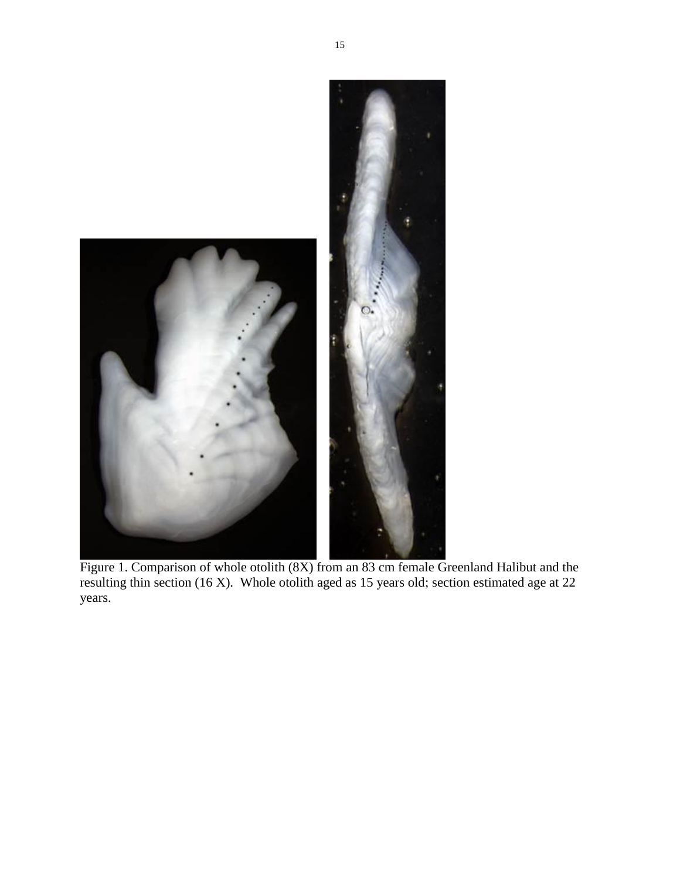

Figure 1. Comparison of whole otolith (8X) from an 83 cm female Greenland Halibut and the resulting thin section (16 X). Whole otolith aged as 15 years old; section estimated age at 22 years.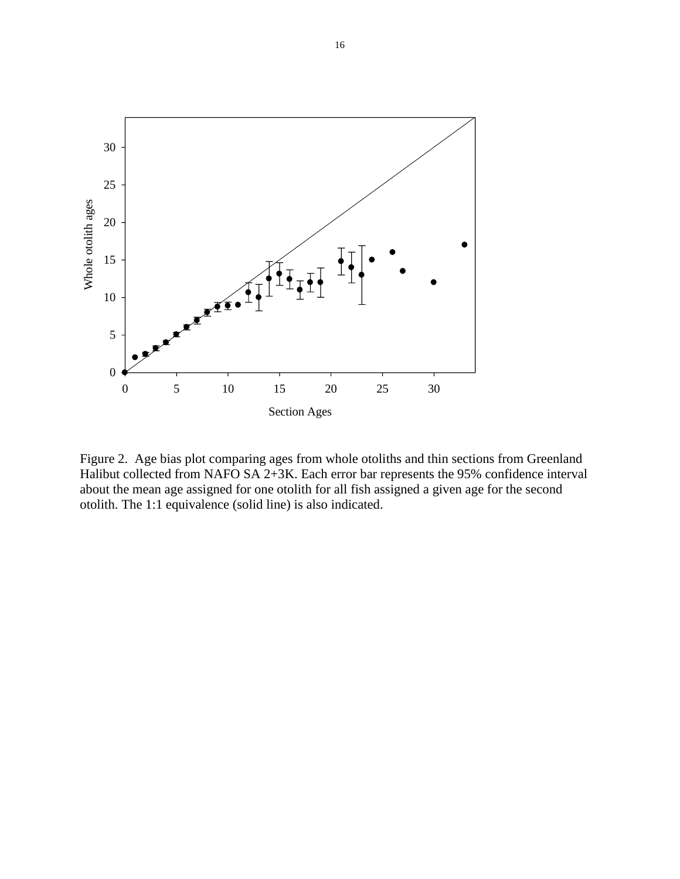

Figure 2. Age bias plot comparing ages from whole otoliths and thin sections from Greenland Halibut collected from NAFO SA 2+3K. Each error bar represents the 95% confidence interval about the mean age assigned for one otolith for all fish assigned a given age for the second otolith. The 1:1 equivalence (solid line) is also indicated.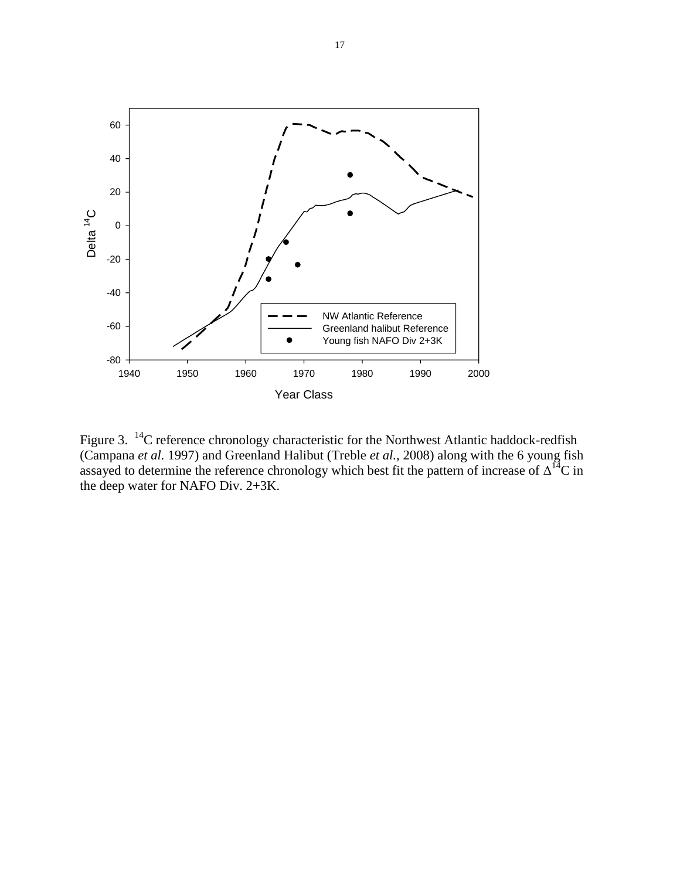

Figure 3.  $^{14}$ C reference chronology characteristic for the Northwest Atlantic haddock-redfish (Campana *et al.* 1997) and Greenland Halibut (Treble *et al.,* 2008) along with the 6 young fish assayed to determine the reference chronology which best fit the pattern of increase of  $\Delta^{14}C$  in the deep water for NAFO Div. 2+3K.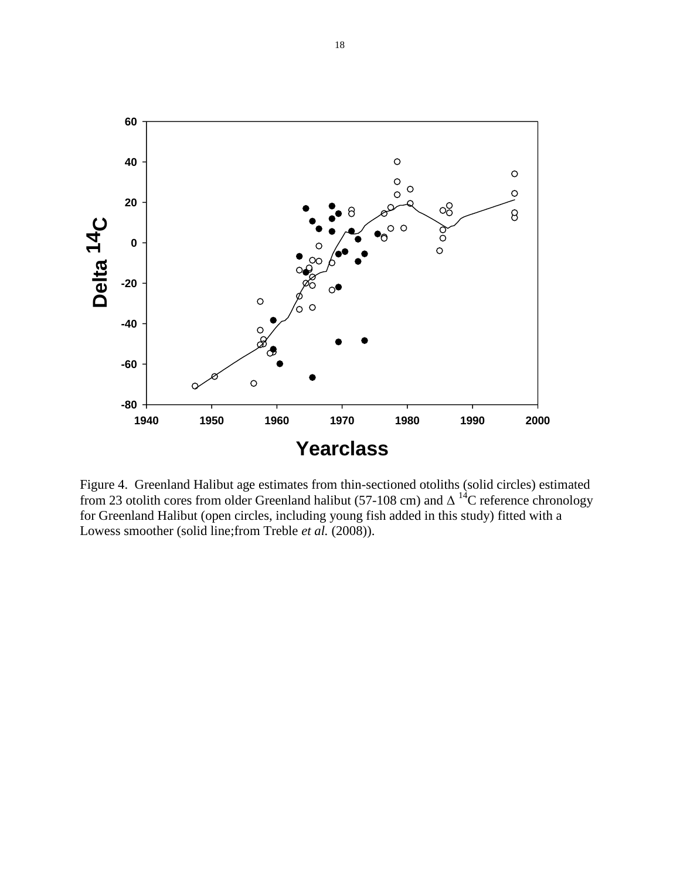

Figure 4. Greenland Halibut age estimates from thin-sectioned otoliths (solid circles) estimated from 23 otolith cores from older Greenland halibut (57-108 cm) and  $\Delta^{14}$ C reference chronology for Greenland Halibut (open circles, including young fish added in this study) fitted with a Lowess smoother (solid line;from Treble *et al.* (2008)).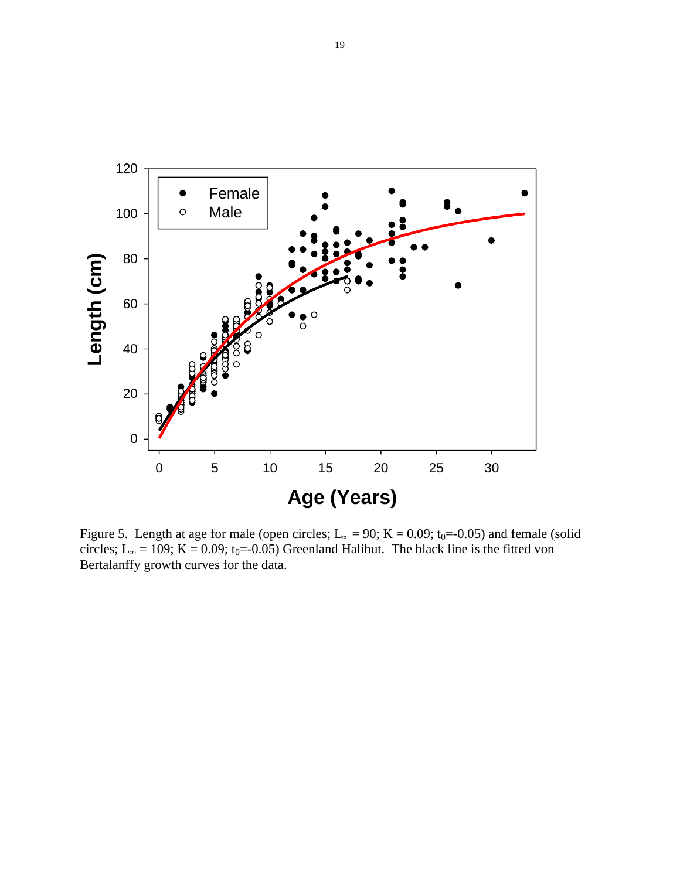

Figure 5. Length at age for male (open circles; L<sub>∞</sub> = 90; K = 0.09; t<sub>0</sub>=-0.05) and female (solid circles; L<sub>∞</sub> = 109; K = 0.09; t<sub>0</sub>=-0.05) Greenland Halibut. The black line is the fitted von Bertalanffy growth curves for the data.